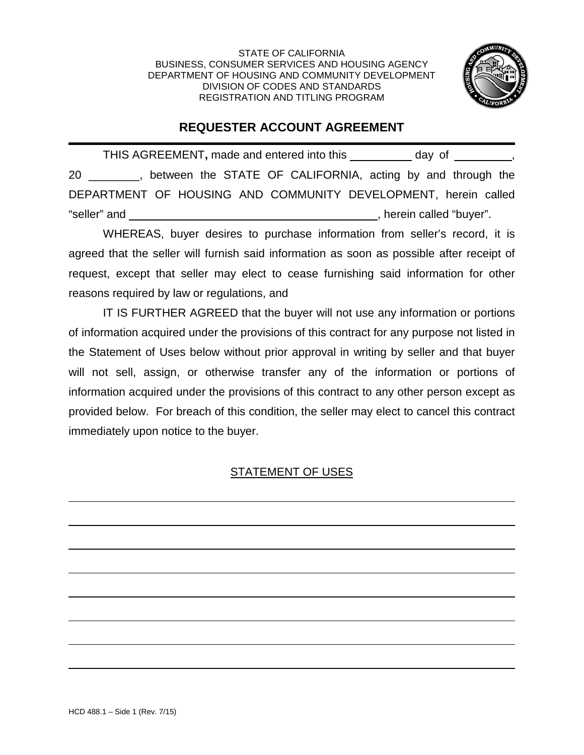STATE OF CALIFORNIA BUSINESS, CONSUMER SERVICES AND HOUSING AGENCY DEPARTMENT OF HOUSING AND COMMUNITY DEVELOPMENT DIVISION OF CODES AND STANDARDS REGISTRATION AND TITLING PROGRAM



## **REQUESTER ACCOUNT AGREEMENT**

THIS AGREEMENT**,** made and entered into this day of \_\_\_\_\_\_\_\_\_, 20 \_\_\_\_\_\_\_\_, between the STATE OF CALIFORNIA, acting by and through the DEPARTMENT OF HOUSING AND COMMUNITY DEVELOPMENT, herein called "seller" and , herein called "buyer".

WHEREAS, buyer desires to purchase information from seller's record, it is agreed that the seller will furnish said information as soon as possible after receipt of request, except that seller may elect to cease furnishing said information for other reasons required by law or regulations, and

IT IS FURTHER AGREED that the buyer will not use any information or portions of information acquired under the provisions of this contract for any purpose not listed in the Statement of Uses below without prior approval in writing by seller and that buyer will not sell, assign, or otherwise transfer any of the information or portions of information acquired under the provisions of this contract to any other person except as provided below. For breach of this condition, the seller may elect to cancel this contract immediately upon notice to the buyer.

## STATEMENT OF USES

 $\overline{a}$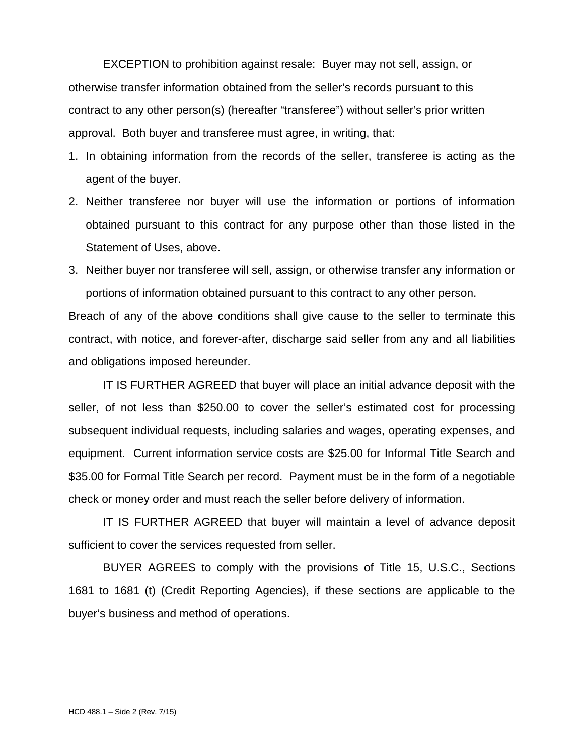EXCEPTION to prohibition against resale: Buyer may not sell, assign, or otherwise transfer information obtained from the seller's records pursuant to this contract to any other person(s) (hereafter "transferee") without seller's prior written approval. Both buyer and transferee must agree, in writing, that:

- 1. In obtaining information from the records of the seller, transferee is acting as the agent of the buyer.
- 2. Neither transferee nor buyer will use the information or portions of information obtained pursuant to this contract for any purpose other than those listed in the Statement of Uses, above.
- 3. Neither buyer nor transferee will sell, assign, or otherwise transfer any information or portions of information obtained pursuant to this contract to any other person.

Breach of any of the above conditions shall give cause to the seller to terminate this contract, with notice, and forever-after, discharge said seller from any and all liabilities and obligations imposed hereunder.

IT IS FURTHER AGREED that buyer will place an initial advance deposit with the seller, of not less than \$250.00 to cover the seller's estimated cost for processing subsequent individual requests, including salaries and wages, operating expenses, and equipment. Current information service costs are \$25.00 for Informal Title Search and \$35.00 for Formal Title Search per record. Payment must be in the form of a negotiable check or money order and must reach the seller before delivery of information.

IT IS FURTHER AGREED that buyer will maintain a level of advance deposit sufficient to cover the services requested from seller.

BUYER AGREES to comply with the provisions of Title 15, U.S.C., Sections 1681 to 1681 (t) (Credit Reporting Agencies), if these sections are applicable to the buyer's business and method of operations.